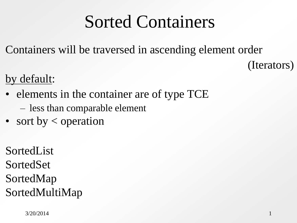### Sorted Containers

Containers will be traversed in ascending element order

(Iterators)

by default:

- elements in the container are of type TCE
	- less than comparable element
- sort by  $\lt$  operation

SortedList SortedSet SortedMap SortedMultiMap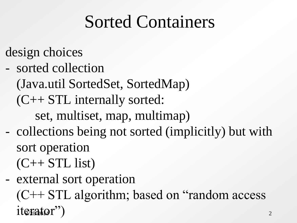## Sorted Containers

- design choices
- sorted collection

(Java.util SortedSet, SortedMap)

(C++ STL internally sorted:

set, multiset, map, multimap)

- collections being not sorted (implicitly) but with sort operation
	- $(C++STL$  list
- iterator") - external sort operation (C++ STL algorithm; based on "random access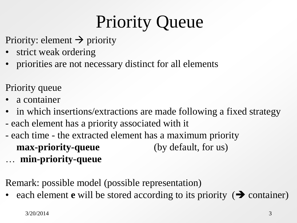# Priority Queue

- Priority: element  $\rightarrow$  priority
- strict weak ordering
- priorities are not necessary distinct for all elements
- Priority queue
- a container
- in which insertions/extractions are made following a fixed strategy
- each element has a priority associated with it
- each time the extracted element has a maximum priority **max-priority-queue** (by default, for us) … **min-priority-queue**

Remark: possible model (possible representation)

• each element **e** will be stored according to its priority  $(\rightarrow)$  container)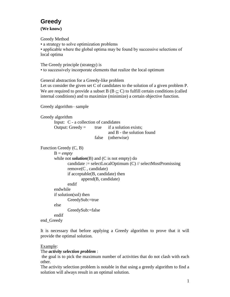### **Greedy**

**(We know)**

Greedy Method

• a strategy to solve optimization problems

• applicable where the global optima may be found by successive selections of local optima

The Greedy principle (strategy) is

• to successively incorporate elements that realize the local optimum

General abstraction for a Greedy-like problem

Let us consider the given set C of candidates to the solution of a given problem P. We are required to provide a subset B ( $B \subset C$ ) to fulfill certain conditions (called internal conditions) and to maximize (minimize) a certain objective function.

Greedy algorithm– sample

Greedy algorithm Input: C - a collection of candidates Output: Greedy  $=$  true if a solution exists; and B - the solution found false (otherwise) Function Greedy (C, B)  $B = \text{empty}$ while not *solution*(B) and (C is not empty) do candidate := selectLocalOptimum  $(C)$  // selectMostPromissing remove(C , candidate) if acceptable(B, candidate) then append(B, candidate) endif endwhile if solution(sol) then GreedySub:=true else GreedySub:=false endif

```
end_Greedy
```
It is necessary that before applying a Greedy algorithm to prove that it will provide the optimal solution.

#### Example:

#### The *activity selection problem* :

the goal is to pick the maximum number of activities that do not clash with each other.

The activity selection problem is notable in that using a greedy algorithm to find a solution will always result in an optimal solution.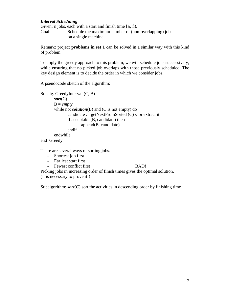#### *Interval Scheduling*

Given: n jobs, each with a start and finish time  $[s_i, f_i)$ . Goal: Schedule the maximum number of (non-overlapping) jobs on a single machine.

Remark: project **problems in set 1** can be solved in a similar way with this kind of problem

To apply the greedy approach to this problem, we will schedule jobs successively, while ensuring that no picked job overlaps with those previously scheduled. The key design element is to decide the order in which we consider jobs.

A pseudocode sketch of the algorithm:

```
Subalg. GreedyInterval (C, B)
       sort(C)
       B = emptywhile not solution(B) and (C is not empty) do
              candidate := getNextFromSorted (C) // or extract it
              if acceptable(B, candidate) then
                     append(B, candidate)
              endif
       endwhile
end_Greedy
```
There are several ways of sorting jobs.

- Shortest job first
- Earliest start first

#### - Fewest conflict first BAD!

Picking jobs in increasing order of finish times gives the optimal solution. (It is necessary to prove it!)

Subalgorithm: *sort*(C) sort the activities in descending order by finishing time